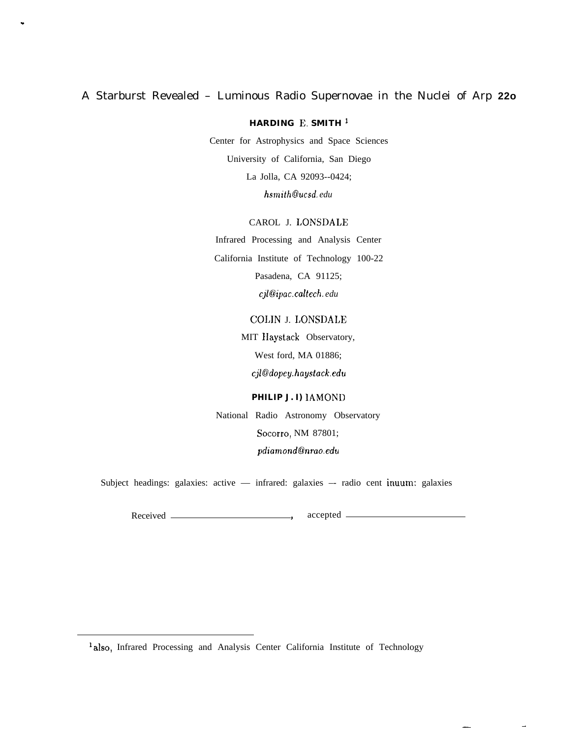# A Starburst Revealed - Luminous Radio Supernovae in the Nuclei of Arp 220

### HARDING E. SMITH<sup>1</sup>

Center for Astrophysics and Space Sciences University of California, San Diego La Jolla, CA 92093--0424; hsmith@ucsd.edu

CAROL J. LONSDALE

Infrared Processing and Analysis Center California Institute of Technology 100-22 Pasadena, CA 91125;

cjl@ipac.caltech.edu

COLIN J. LONSDALE

MIT Haystack Observatory,

West ford, MA 01886;

cjl@dopey.haystack.edu

PHILIP J. I) IAMOND

National Radio Astronomy Observatory Socorro, NM 87801; pdiamond@nrao.edu

Subject headings: galaxies: active - infrared: galaxies -- radio cent inuum: galaxies

Received \_

accepted.

 $\overline{a}$ 

<sup>1</sup>also, Infrared Processing and Analysis Center California Institute of Technology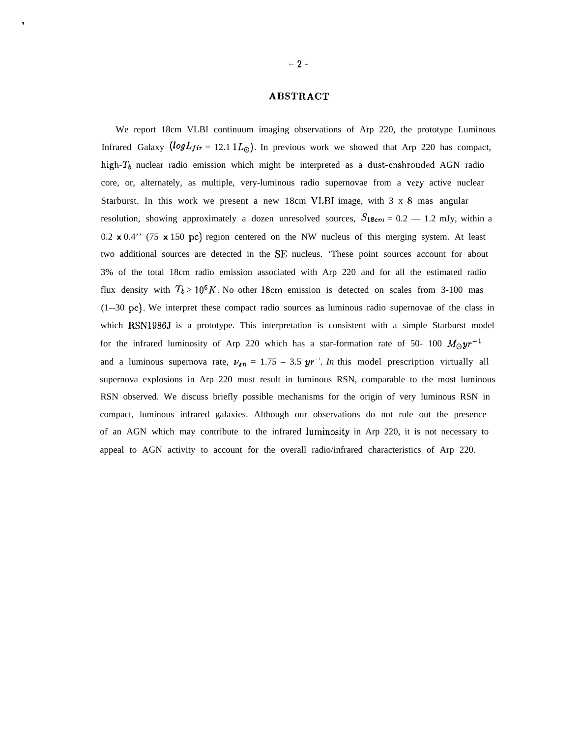# **A13STRACT**

We report 18cm VLBI continuum imaging observations of Arp 220, the prototype Luminous Infrared Galaxy ( $logL_{fir} = 12.1$   $1L_{\odot}$ ). In previous work we showed that Arp 220 has compact, high- $T_b$  nuclear radio emission which might be interpreted as a dust-enshrouded AGN radio core, or, alternately, as multiple, very-luminous radio supernovae from a very active nuclear Starburst. In this work we present a new 18cm VLBI image, with 3 x 8 mas angular resolution, showing approximately a dozen unresolved sources,  $S_{18cm} = 0.2 - 1.2$  mJy, within a 0.2 **x** 0.4'' (75 **x** 150 pc) region centered on the NW nucleus of this merging system. At least two additional sources are detected in the SE nucleus. 'These point sources account for about 3% of the total 18cm radio emission associated with Arp 220 and for all the estimated radio flux density with  $T_b > 10^6 K$ . No other 18cm emission is detected on scales from 3-100 mas (1--30 pc). We interpret these compact radio sources as luminous radio supernovae of the class in which RSN1986J is a prototype. This interpretation is consistent with a simple Starburst model for the infrared luminosity of Arp 220 which has a star-formation rate of 50- 100  $M_{\odot}yr^{-1}$ and a luminous supernova rate,  $v_{sn} = 1.75 - 3.5$   $yr<sup>-1</sup>$ . In this model prescription virtually all supernova explosions in Arp 220 must result in luminous RSN, comparable to the most luminous RSN observed. We discuss briefly possible mechanisms for the origin of very luminous RSN in compact, luminous infrared galaxies. Although our observations do not rule out the presence of an AGN which may contribute to the infrared lutninosity in Arp 220, it is not necessary to appeal to AGN activity to account for the overall radio/infrared characteristics of Arp 220.

.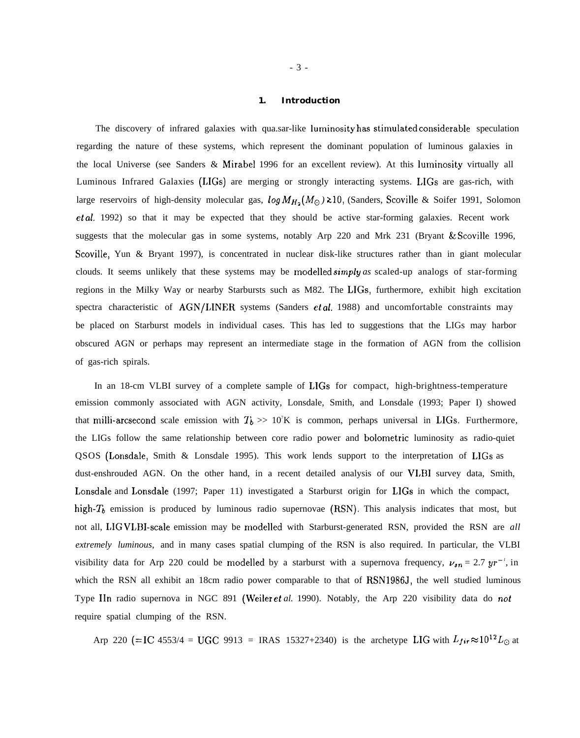### **1. Introduction**

The discovery of infrared galaxies with qua.sar-like luminosity has stimulated considerable speculation regarding the nature of these systems, which represent the dominant population of luminous galaxies in the local Universe (see Sanders & Mirabel 1996 for an excellent review). At this luminosity virtually all Luminous Infrared Galaxies (I,IGs) are merging or strongly interacting systems. LIGs are gas-rich, with large reservoirs of high-density molecular gas,  $log M_{H_2}(M_{\odot}) \ge 10$ , (Sanders, Scoville & Soifer 1991, Solomon et *al.* 1992) so that it may be expected that they should be active star-forming galaxies. Recent work suggests that the molecular gas in some systems, notably Arp 220 and Mrk 231 (Bryant & Scoville 1996, Scoville, Yun & Bryant 1997), is concentrated in nuclear disk-like structures rather than in giant molecular clouds. It seems unlikely that these systems may be modelled *simply as* scaled-up analogs of star-forming regions in the Milky Way or nearby Starbursts such as M82. The LIGs, furthermore, exhibit high excitation spectra characteristic of  $AGN/LINER$  systems (Sanders *et al.* 1988) and uncomfortable constraints may be placed on Starburst models in individual cases. This has led to suggestions that the LIGs may harbor obscured AGN or perhaps may represent an intermediate stage in the formation of AGN from the collision of gas-rich spirals.

In an 18-cm VLBI survey of a complete sample of LIGs for compact, high-brightness-temperature emission commonly associated with AGN activity, Lonsdale, Smith, and Lonsdale (1993; Paper I) showed that milli-arcsecond scale emission with  $T<sub>b</sub> \gg 10^{7}K$  is common, perhaps universal in LIGs. Furthermore, the LIGs follow the same relationship between core radio power and bolornetric luminosity as radio-quiet QSOS (Lonsdale, Smith & Lonsdale 1995). This work lends support to the interpretation of LIGs as dust-enshrouded AGN. On the other hand, in a recent detailed analysis of our VI,BI survey data, Smith, Lonsdale and Lonsdale (1997; Paper 11) investigated a Starburst origin for LIGs in which the compact, high- $T<sub>b</sub>$  emission is produced by luminous radio supernovae (RSN). This analysis indicates that most, but not all, I,IG VLBI-scale emission may be rnodelled with Starburst-generated RSN, provided the RSN are *all extremely luminous,* and in many cases spatial clumping of the RSN is also required. In particular, the VLBI visibility data for Arp 220 could be modelled by a starburst with a supernova frequency,  $v_{sn} = 2.7 \text{ yr}^{-1}$ , in which the RSN all exhibit an 18cm radio power comparable to that of RSN1986J, the well studied luminous Type IIn radio supernova in NGC 891 (Weiler et *al.* 1990). Notably, the Arp 220 visibility data do not require spatial clumping of the RSN.

Arp 220 (= IC 4553/4 = UGC 9913 = IRAS 15327+2340) is the archetype LIG with  $L_{\text{fir}} \approx 10^{12} L_{\odot}$  at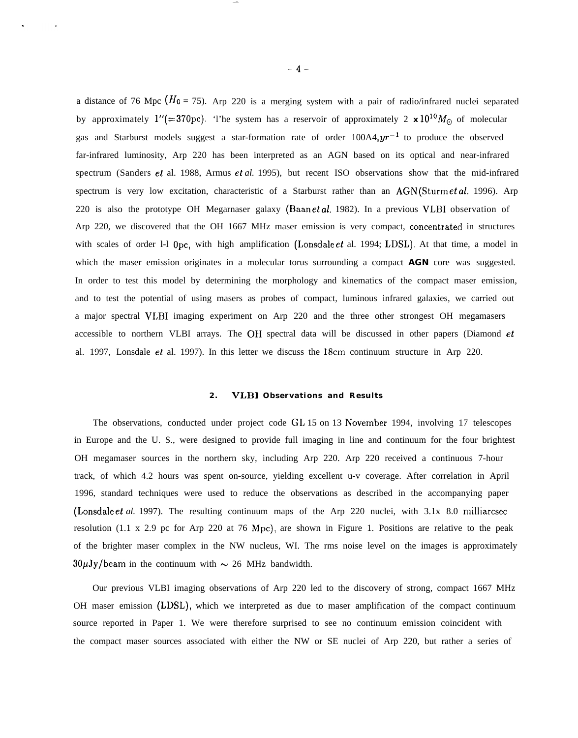a distance of 76 Mpc ( $H_0$  = 75). Arp 220 is a merging system with a pair of radio/infrared nuclei separated by approximately 1"(=370pc). The system has a reservoir of approximately 2  $\times 10^{10} M_{\odot}$  of molecular gas and Starburst models suggest a star-formation rate of order  $100A4_0 yr^{-1}$  to produce the observed far-infrared luminosity, Arp 220 has been interpreted as an AGN based on its optical and near-infrared spectrum (Sanders et al. 1988, Armus et *al.* 1995), but recent ISO observations show that the mid-infrared spectrum is very low excitation, characteristic of a Starburst rather than an  $AGN(Sturm et al. 1996)$ . Arp 220 is also the prototype OH Megarnaser galaxy (Baan *et al.* 1982). In a previous VLBI observation of Arp 220, we discovered that the OH 1667 MHz maser emission is very compact, concentrated in structures with scales of order 1-1 Opc, with high amplification (Lonsdale *et al.* 1994; LDSL). At that time, a model in which the maser emission originates in a molecular torus surrounding a compact **AGN** core was suggested. In order to test this model by determining the morphology and kinematics of the compact maser emission, and to test the potential of using masers as probes of compact, luminous infrared galaxies, we carried out a major spectral VLBI imaging experiment on Arp 220 and the three other strongest OH megamasers accessible to northern VLBI arrays. The OH spectral data will be discussed in other papers (Diamond  $et$ al. 1997, Lonsdale *et al.* 1997). In this letter we discuss the 18cm continuum structure in Arp 220.

#### **2 . VLB1 Observations and Results**

The observations, conducted under project code GL 15 on 13 November 1994, involving 17 telescopes in Europe and the U. S., were designed to provide full imaging in line and continuum for the four brightest OH megamaser sources in the northern sky, including Arp 220. Arp 220 received a continuous 7-hour track, of which 4.2 hours was spent on-source, yielding excellent u-v coverage. After correlation in April 1996, standard techniques were used to reduce the observations as described in the accompanying paper (Lonsdale et *al.* 1997). The resulting continuum maps of the Arp 220 nuclei, with 3.1x 8.0 milliarcsec resolution (1.1 x 2.9 pc for Arp 220 at 76 Mpc), are shown in Figure 1. Positions are relative to the peak of the brighter maser complex in the NW nucleus, WI. The rms noise level on the images is approximately  $30\mu Jy/beam$  in the continuum with  $\sim$  26 MHz bandwidth.

Our previous VLBI imaging observations of Arp 220 led to the discovery of strong, compact 1667 MHz OH maser emission (LDSL), which we interpreted as due to maser amplification of the compact continuum source reported in Paper 1. We were therefore surprised to see no continuum emission coincident with the compact maser sources associated with either the NW or SE nuclei of Arp 220, but rather a series of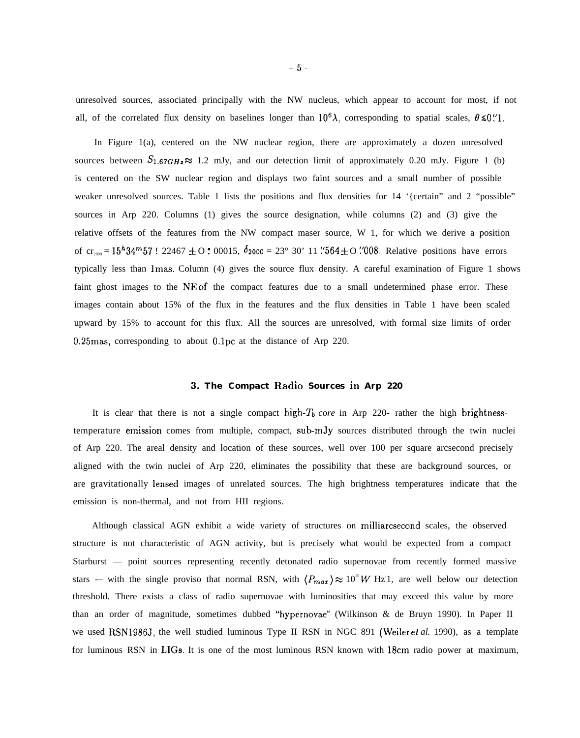unresolved sources, associated principally with the NW nucleus, which appear to account for most, if not all, of the correlated flux density on baselines longer than  $10^6\lambda$ , corresponding to spatial scales,  $\theta \le 0$ .''.

In Figure 1(a), centered on the NW nuclear region, there are approximately a dozen unresolved sources between  $S_{1.67GHz} \approx 1.2$  mJy, and our detection limit of approximately 0.20 mJy. Figure 1 (b) is centered on the SW nuclear region and displays two faint sources and a small number of possible weaker unresolved sources. Table 1 lists the positions and flux densities for 14 '{certain" and 2 "possible" sources in Arp 220. Columns (1) gives the source designation, while columns (2) and (3) give the relative offsets of the features from the NW compact maser source, W 1, for which we derive a position of cr<sub>2000</sub> =  $15^{h}34^{m}57$  ! 22467  $\pm$  O  $\cdot$  00015,  $\delta_{2000}$  = 23° 30' 11 "564  $\pm$  O "008. Relative positions have errors typically less than 1mas. Column (4) gives the source flux density. A careful examination of Figure 1 shows faint ghost images to the NE of the compact features due to a small undetermined phase error. These images contain about 15% of the flux in the features and the flux densities in Table 1 have been scaled upward by 15% to account for this flux. All the sources are unresolved, with formal size limits of order  $0.25$ mas, corresponding to about  $0.1$ pc at the distance of Arp 220.

### 3, **The Compact Radio Sources in Arp 220**

It is clear that there is not a single compact high- $T<sub>b</sub>$  *core* in Arp 220- rather the high brightnesstemperature emission comes from multiple, compact, sub-mJy sources distributed through the twin nuclei of Arp 220. The areal density and location of these sources, well over 100 per square arcsecond precisely aligned with the twin nuclei of Arp 220, eliminates the possibility that these are background sources, or are gravitationally lensed images of unrelated sources. The high brightness temperatures indicate that the emission is non-thermal, and not from HII regions.

Although classical AGN exhibit a wide variety of structures on milliarcsecond scales, the observed structure is not characteristic of AGN activity, but is precisely what would be expected from a compact Starburst — point sources representing recently detonated radio supernovae from recently formed massive stars -– with the single proviso that normal RSN, with  $\langle P_{max} \rangle \approx 10^{20} W$  Hz 1, are well below our detection threshold. There exists a class of radio supernovae with luminosities that may exceed this value by more than an order of magnitude, sometimes dubbed "hypernovae" (Wilkinson & de Bruyn 1990). In Paper II we used RSN1986J, the well studied luminous Type II RSN in NGC 891 (Weiler et *al.* 1990), as a template for luminous RSN in LIGs. It is one of the most luminous RSN known with 18cm radio power at maximum,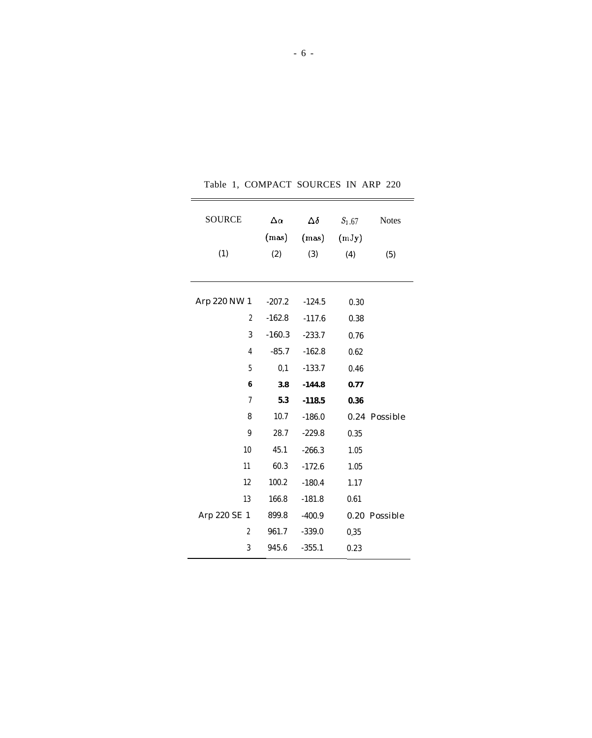| <b>SOURCE</b>           | $\Delta \alpha$ | Δδ                         | $S_1.67$     | <b>Notes</b>  |
|-------------------------|-----------------|----------------------------|--------------|---------------|
| (1)                     | (2)             | $\pmod{\text{mas}}$<br>(3) | (mJy)<br>(4) | (5)           |
|                         |                 |                            |              |               |
| $\boldsymbol{2}$        | $-162.8$        | $-117.6$                   | 0.38         |               |
| 3                       | $-160.3$        | $-233.7$                   | 0.76         |               |
| $\overline{\mathbf{4}}$ | $-85.7$         | $-162.8$                   | 0.62         |               |
| 5                       | 0,1             | $-133.7$                   | 0.46         |               |
| 6                       | 3.8             | $-144.8$                   | 0.77         |               |
| 7                       | 5.3             | $-118.5$                   | 0.36         |               |
| 8                       | 10.7            | $-186.0$                   |              | 0.24 Possible |
| $\boldsymbol{9}$        | 28.7            | $-229.8$                   | 0.35         |               |
| 10                      | 45.1            | $-266.3$                   | 1.05         |               |
| 11                      | 60.3            | $-172.6$                   | 1.05         |               |
| 12                      | 100.2           | $-180.4$                   | 1.17         |               |
| 13                      | 166.8           | $-181.8$                   | 0.61         |               |
| Arp 220 SE 1            | 899.8           | $-400.9$                   |              | 0.20 Possible |
| $\boldsymbol{2}$        | 961.7           | $-339.0$                   | 0.35         |               |
| 3                       | 945.6           | $-355.1$                   | 0.23         |               |

Table 1, COMPACT SOURCES IN ARP 220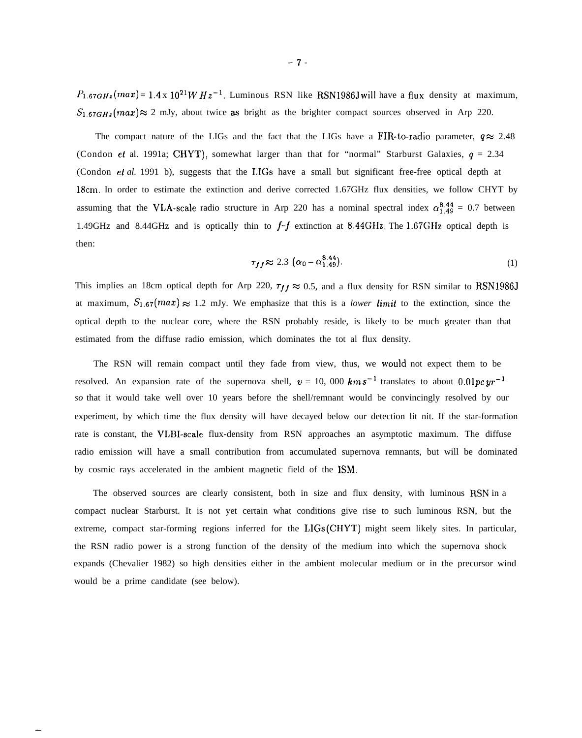$P_{1.67GHz}(max) = 1.4 \times 10^{21} W Hz^{-1}$ . Luminous RSN like RSN1986J will have a flux density at maximum,  $S_{1.67GHz}$  *(mar)*  $\approx$  2 mJy, about twice as bright as the brighter compact sources observed in Arp 220.

The compact nature of the LIGs and the fact that the LIGs have a FIR-to-radio parameter,  $q \approx 2.48$ (Condon et al. 1991a; CHYT), somewhat larger than that for "normal" Starburst Galaxies,  $q = 2.34$ (Condon et *al.* 1991 b), suggests that the I,IGs have a small but significant free-free optical depth at 18cm. In order to estimate the extinction and derive corrected 1.67GHz flux densities, we follow CHYT by assuming that the VLA-scale radio structure in Arp 220 has a nominal spectral index  $\alpha_{1.49}^{8.44} = 0.7$  between 1.49GHz and 8.44GHz and is optically thin to  $f-f$  extinction at 8.44GHz. The 1.67GHz optical depth is then:

$$
\tau_{ff} \approx 2.3 \, (\alpha_0 - \alpha_{1.49}^{8.44}). \tag{1}
$$

This implies an 18cm optical depth for Arp 220,  $\tau_{ff} \approx 0.5$ , and a flux density for RSN similar to RSN1986J at maximum,  $S_{1.67}(max) \approx 1.2$  mJy. We emphasize that this is a *lower limit* to the extinction, since the optical depth to the nuclear core, where the RSN probably reside, is likely to be much greater than that estimated from the diffuse radio emission, which dominates the tot al flux density.

The RSN will remain compact until they fade from view, thus, we would not expect them to be resolved. An expansion rate of the supernova shell,  $v = 10$ , 000  $km s^{-1}$  translates to about  $0.01 pc yr^{-1}$ *so* that it would take well over 10 years before the shell/remnant would be convincingly resolved by our experiment, by which time the flux density will have decayed below our detection lit nit. If the star-formation rate is constant, the VLBI-scale flux-density from RSN approaches an asymptotic maximum. The diffuse radio emission will have a small contribution from accumulated supernova remnants, but will be dominated by cosmic rays accelerated in the ambient magnetic field of the ISM.

The observed sources are clearly consistent, both in size and flux density, with luminous RSN in a compact nuclear Starburst. It is not yet certain what conditions give rise to such luminous RSN, but the extreme, compact star-forming regions inferred for the I,IGs (CHYT) might seem likely sites. In particular, the RSN radio power is a strong function of the density of the medium into which the supernova shock expands (Chevalier 1982) so high densities either in the ambient molecular medium or in the precursor wind would be a prime candidate (see below).

.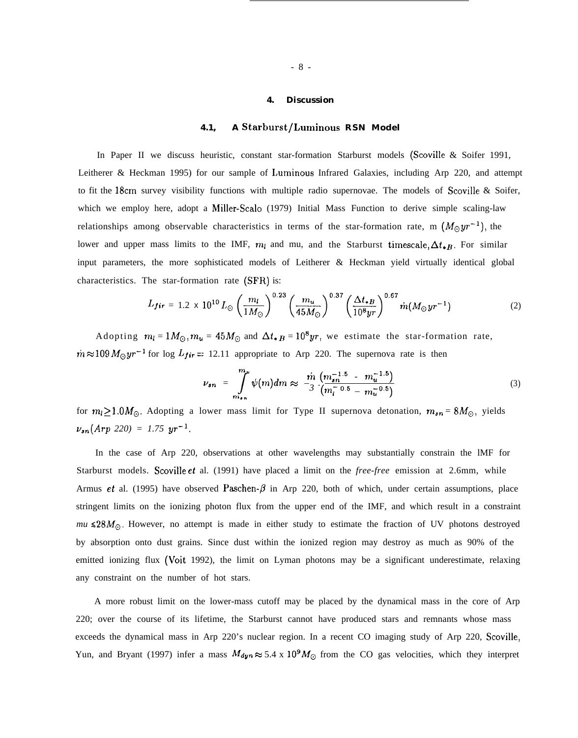#### **4. Discussion**

# **4.1, A Starburst/Luxninous RSN Model**

In Paper II we discuss heuristic, constant star-formation Starburst models (Scoville & Soifer 1991, Leitherer & Heckman 1995) for our sample of Luminous Infrared Galaxies, including Arp 220, and attempt to fit the 18cm survey visibility functions with multiple radio supernovae. The models of Scoville & Soifer, which we employ here, adopt a Miller-Scalo (1979) Initial Mass Function to derive simple scaling-law relationships among observable characteristics in terms of the star-formation rate, m  $(M_{\odot}yr^{-1})$ , the lower and upper mass limits to the IMF,  $m_l$  and mu, and the Starburst timescale,  $\Delta t_{\star}B$ . For similar input parameters, the more sophisticated models of Leitherer & Heckman yield virtually identical global characteristics. The star-formation rate (SFR) is:

$$
L_{fir} = 1.2 \times 10^{10} L_{\odot} \left(\frac{m_l}{1M_{\odot}}\right)^{0.23} \left(\frac{m_u}{45M_{\odot}}\right)^{0.37} \left(\frac{\Delta t_{*B}}{10^8 yr}\right)^{0.67} \dot{m}(M_{\odot} yr^{-1}) \tag{2}
$$

Adopting  $m_l = 1 M_{\odot}$ ,  $m_u = 45 M_{\odot}$  and  $\Delta t_{\star}$   $B = 10^8 yr$ , we estimate the star-formation rate,  $\dot{m} \approx 109 M_{\odot} yr^{-1}$  for log  $L_{fir} = 12.11$  appropriate to Arp 220. The supernova rate is then

$$
\nu_{sn} = \int_{m_{sn}}^{m_u} \psi(m) dm \approx \frac{m}{3} \cdot \frac{\left(m_{sn}^{-1.5} - m_u^{-1.5}\right)}{\left(m_i^{-0.5} - m_u^{-0.5}\right)} \tag{3}
$$

for  $m_l \ge 1.0M_{\odot}$ . Adopting a lower mass limit for Type II supernova detonation,  $m_{sn} = 8M_{\odot}$ , yields  $\nu_{sn}(Arp 220) = 1.75 \text{ yr}^{-1}.$ 

In the case of Arp 220, observations at other wavelengths may substantially constrain the lMF for Starburst models. Scoville et al. (1991) have placed a limit on the *free-free* emission at 2.6mm, while Armus et al. (1995) have observed Paschen- $\beta$  in Arp 220, both of which, under certain assumptions, place stringent limits on the ionizing photon flux from the upper end of the IMF, and which result in a constraint  $mu \leq 28M_{\odot}$ . However, no attempt is made in either study to estimate the fraction of UV photons destroyed by absorption onto dust grains. Since dust within the ionized region may destroy as much as 90% of the emitted ionizing flux (Voit 1992), the limit on Lyman photons may be a significant underestimate, relaxing any constraint on the number of hot stars.

A more robust limit on the lower-mass cutoff may be placed by the dynamical mass in the core of Arp 220; over the course of its lifetime, the Starburst cannot have produced stars and remnants whose mass exceeds the dynamical mass in Arp 220's nuclear region. In a recent CO imaging study of Arp 220, Scoville, Yun, and Bryant (1997) infer a mass  $M_{dyn} \approx 5.4 \times 10^9 M_{\odot}$  from the CO gas velocities, which they interpret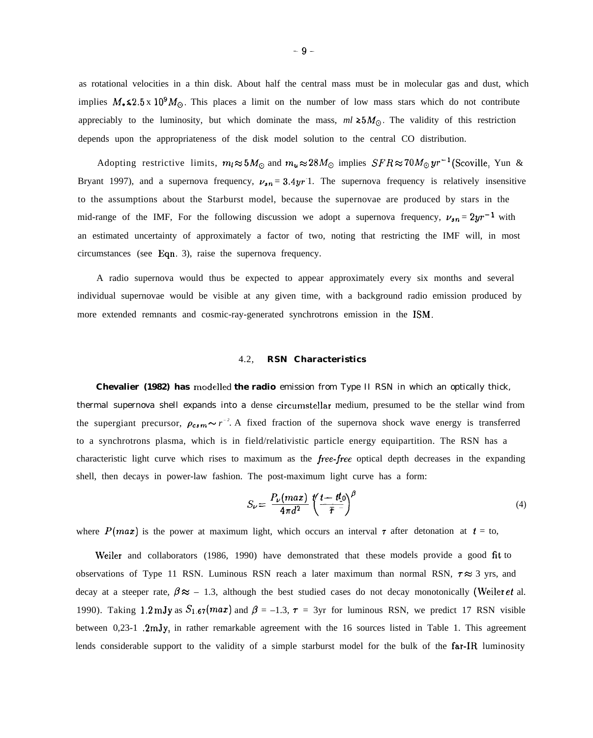as rotational velocities in a thin disk. About half the central mass must be in molecular gas and dust, which implies  $M_{\star} \le 2.5 \times 10^9 M_{\odot}$ . This places a limit on the number of low mass stars which do not contribute appreciably to the luminosity, but which dominate the mass,  $ml \ge 5M_{\odot}$ . The validity of this restriction depends upon the appropriateness of the disk model solution to the central CO distribution.

Adopting restrictive limits,  $m_l \approx 5M_\odot$  and  $m_u \approx 28M_\odot$  implies  $SFR \approx 70M_\odot yr^{-1}$  (Scoville, Yun & Bryant 1997), and a supernova frequency,  $v_{nn} = 3.4yr$  1. The supernova frequency is relatively insensitive to the assumptions about the Starburst model, because the supernovae are produced by stars in the mid-range of the IMF, For the following discussion we adopt a supernova frequency,  $v_{\rm sn} = 2yr^{-1}$  with an estimated uncertainty of approximately a factor of two, noting that restricting the IMF will, in most circumstances (see Eqn. 3), raise the supernova frequency.

A radio supernova would thus be expected to appear approximately every six months and several individual supernovae would be visible at any given time, with a background radio emission produced by more extended remnants and cosmic-ray-generated synchrotrons emission in the ISM.

### 4.2, **RSN Characteristics**

**Chevalier (1982) has modelled the radio** emission from Type II RSN in which an optically thick, thermal supernova shell expands into a dense circurnstellar medium, presumed to be the stellar wind from the supergiant precursor,  $\rho_{csm} \sim r^{-2}$ . A fixed fraction of the supernova shock wave energy is transferred to a synchrotrons plasma, which is in field/relativistic particle energy equipartition. The RSN has a characteristic light curve which rises to maximum as the  $free-free$  optical depth decreases in the expanding

shell, then decays in power-law fashion. The post-maximum light curve has a form:  
\n
$$
S_{\nu} = \frac{P_{\nu}(max)}{4\pi d^2} \left(\frac{t - t\xi_0}{f}\right)^{\beta}
$$
\n(4)

where  $P(max)$  is the power at maximum light, which occurs an interval  $\tau$  after detonation at  $t =$  to,

Weiler and collaborators (1986, 1990) have demonstrated that these models provide a good fit to observations of Type 11 RSN. Luminous RSN reach a later maximum than normal RSN,  $\tau \approx 3$  yrs, and decay at a steeper rate,  $\beta \approx -1.3$ , although the best studied cases do not decay monotonically (Weiler *et al.*) 1990). Taking 1.2mJy as  $S_{1.67}(max)$  and  $\beta = -1.3$ ,  $\tau = 3$ yr for luminous RSN, we predict 17 RSN visible between 0,23-1 ,2mJy, in rather remarkable agreement with the 16 sources listed in Table 1. This agreement lends considerable support to the validity of a simple starburst model for the bulk of the far-IR luminosity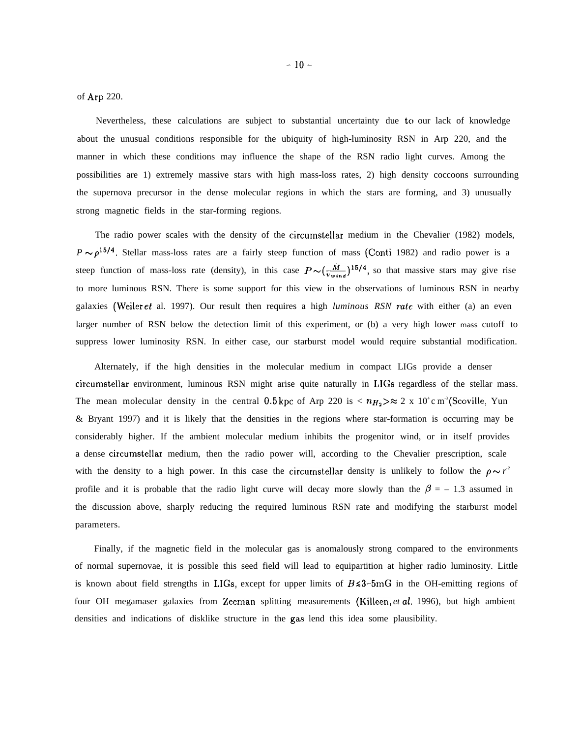of Arp 220.

Nevertheless, these calculations are subject to substantial uncertainty due to our lack of knowledge about the unusual conditions responsible for the ubiquity of high-luminosity RSN in Arp 220, and the manner in which these conditions may influence the shape of the RSN radio light curves. Among the possibilities are 1) extremely massive stars with high mass-loss rates, 2) high density coccoons surrounding the supernova precursor in the dense molecular regions in which the stars are forming, and 3) unusually strong magnetic fields in the star-forming regions.

The radio power scales with the density of the circumstellar medium in the Chevalier (1982) models,  $P \sim \rho^{15/4}$ . Stellar mass-loss rates are a fairly steep function of mass (Conti 1982) and radio power is a steep function of mass-loss rate (density), in this case  $P \sim (\frac{\dot{M}}{v_{wind}})^{15/4}$ , so that massive stars may give rise to more luminous RSN. There is some support for this view in the observations of luminous RSN in nearby galaxies (Weiler et al. 1997). Our result then requires a high *luminous RSN rate* with either (a) an even larger number of RSN below the detection limit of this experiment, or (b) a very high lower mass cutoff to suppress lower luminosity RSN. In either case, our starburst model would require substantial modification.

Alternately, if the high densities in the molecular medium in compact LIGs provide a denser circumstellar environment, luminous RSN might arise quite naturally in LIGs regardless of the stellar mass. The mean molecular density in the central  $0.5\,\text{kpc}$  of Arp 220 is  $\langle n_{H_2}\rangle \approx 2 \times 10^4\,\text{cm}^3\text{/Scoville}$ , Yun & Bryant 1997) and it is likely that the densities in the regions where star-formation is occurring may be considerably higher. If the ambient molecular medium inhibits the progenitor wind, or in itself provides a dense circumstellar medium, then the radio power will, according to the Chevalier prescription, scale with the density to a high power. In this case the circumstellar density is unlikely to follow the  $\rho \sim r^2$ profile and it is probable that the radio light curve will decay more slowly than the  $\beta = -1.3$  assumed in the discussion above, sharply reducing the required luminous RSN rate and modifying the starburst model parameters.

Finally, if the magnetic field in the molecular gas is anomalously strong compared to the environments of normal supernovae, it is possible this seed field will lead to equipartition at higher radio luminosity. Little is known about field strengths in LIGs, except for upper limits of  $B \le 3$ -5mG in the OH-emitting regions of four OH megamaser galaxies from Zeeman splitting measurements (Killeen, *et* al. 1996), but high ambient densities and indications of disklike structure in the gas lend this idea some plausibility.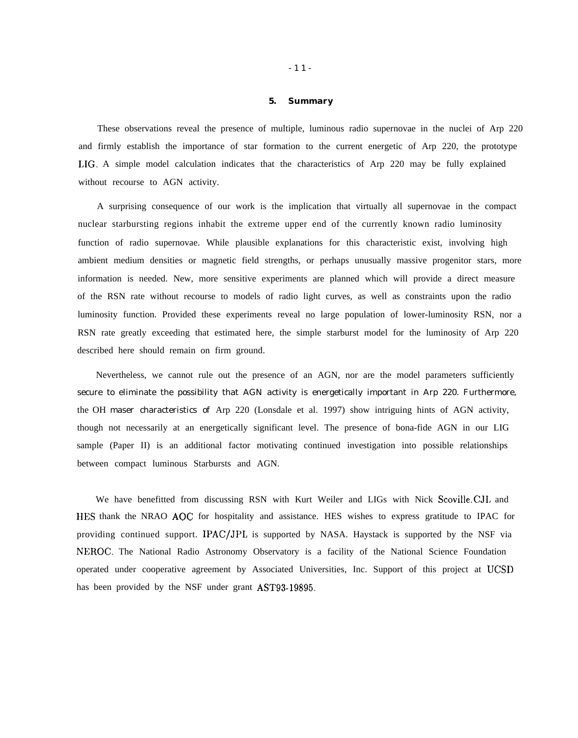#### **5. Summary**

These observations reveal the presence of multiple, luminous radio supernovae in the nuclei of Arp 220 and firmly establish the importance of star formation to the current energetic of Arp 220, the prototype LIG. A simple model calculation indicates that the characteristics of Arp 220 may be fully explained without recourse to AGN activity.

A surprising consequence of our work is the implication that virtually all supernovae in the compact nuclear starbursting regions inhabit the extreme upper end of the currently known radio luminosity function of radio supernovae. While plausible explanations for this characteristic exist, involving high ambient medium densities or magnetic field strengths, or perhaps unusually massive progenitor stars, more information is needed. New, more sensitive experiments are planned which will provide a direct measure of the RSN rate without recourse to models of radio light curves, as well as constraints upon the radio luminosity function. Provided these experiments reveal no large population of lower-luminosity RSN, nor a RSN rate greatly exceeding that estimated here, the simple starburst model for the luminosity of Arp 220 described here should remain on firm ground.

Nevertheless, we cannot rule out the presence of an AGN, nor are the model parameters sufficiently secure to eliminate the possibility that AGN activity is energetically important in Arp 220. Furthermore, the OH maser characteristics of Arp 220 (Lonsdale et al. 1997) show intriguing hints of AGN activity, though not necessarily at an energetically significant level. The presence of bona-fide AGN in our LIG sample (Paper II) is an additional factor motivating continued investigation into possible relationships between compact luminous Starbursts and AGN.

We have benefitted from discussing RSN with Kurt Weiler and LIGs with Nick Scoville. CJL and IIES thank the NRAO AOC for hospitality and assistance. HES wishes to express gratitude to IPAC for providing continued support. IPAC/JPL is supported by NASA. Haystack is supported by the NSF via NEROC. The National Radio Astronomy Observatory is a facility of the National Science Foundation operated under cooperative agreement by Associated Universities, Inc. Support of this project at UCSD has been provided by the NSF under grant AST93-19895.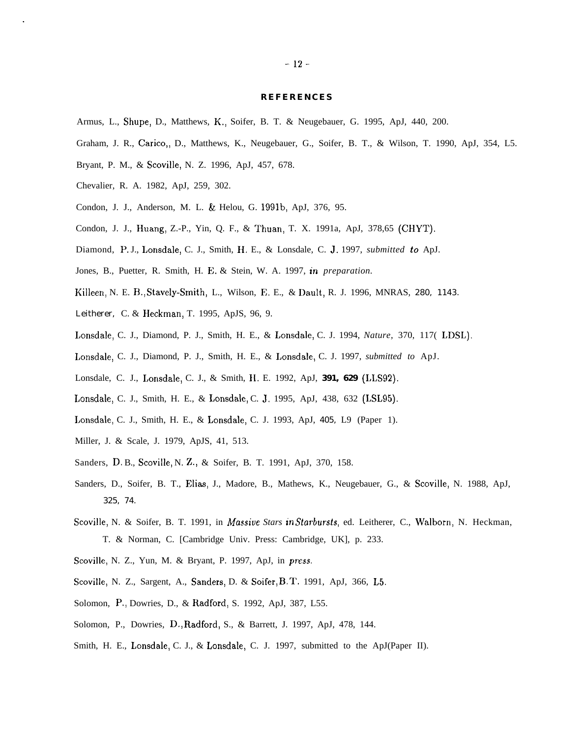# **REFERENCES**

- Armus, L., Shupe, D., Matthews, K,, Soifer, B. T. & Neugebauer, G. 1995, ApJ, 440, 200.
- Graham, J. R., Carico,, D., Matthews, K., Neugebauer, G., Soifer, B. T., & Wilson, T. 1990, ApJ, 354, L5.
- Bryant, P. M., & Scoville, N. Z. 1996, ApJ, 457, 678.
- Chevalier, R. A. 1982, ApJ, 259, 302.
- Condon, J. J., Anderson, M. L. & Helou, G. 1991b, ApJ, 376, 95.
- Condon, J. J., Huang, Z.-P., Yin, Q. F., & Thuan, T. X. 1991a, ApJ, 378,65 (CHYT).
- Diamond, P, J., Lonsdale, C. J., Smith, H. E., & Lonsdale, C. J, 1997, *submitted to* ApJ.
- Jones, B., Puetter, R. Smith, H. E. & Stein, W. A. 1997, in *preparation.*
- Killeen, N. E. B., Stavely-Smith, L., Wilson, E. E., & Dault, R. J. 1996, MNRAS, 280, 1143.
- Leitherer, C. & Heckrnan, T. 1995, ApJS, 96, 9.
- Lonsdale, C. J., Diamond, P. J., Smith, H. E., & Lonsdale, C. J. 1994, *Nature,* 370, 117( LDSL).
- I,onsdale, C. J., Diamond, P. J., Smith, H. E., & Lonsdale, C. J. 1997, *submitted to* ApJ.
- Lonsdale, C. J., Lonsdale, C. J., & Smith, 11. E. 1992, ApJ, **391, 629 (LLS92).**
- Lonsdale, C. J., Smith, H. E., & Lonsdale, C. J, 1995, ApJ, 438, 632 (LSL95).
- Lonsdale, C. J., Smith, H. E., & Lonsdale, C. J. 1993, ApJ, 405, L9 (Paper 1).
- Miller, J. & Scale, J. 1979, ApJS, 41, 513.
- Sanders, D. B., Scoville, N. Z., & Soifer, B. T. 1991, ApJ, 370, 158.
- Sanders, D., Soifer, B. T., Elias, J., Madore, B., Mathews, K., Neugebauer, G., & Scoville, N. 1988, ApJ, 325, 74.
- Scoville, N. & Soifer, B. T. 1991, in Afassiue *Stars* in *Starbursts,* ed. Leitherer, C., Walborn, N. Heckman, T. & Norman, C. [Cambridge Univ. Press: Cambridge, UK], p. 233.
- Scoville, N. Z., Yun, M. & Bryant, P. 1997, ApJ, in press.
- Scoville, N. Z., Sargent, A., Sanders, D. & Soifer, B.T. 1991, ApJ, 366, L5.
- Solomon, P., Dowries, D., & Radford, S. 1992, ApJ, 387, L55.
- Solomon, P., Dowries, D., Radford, S., & Barrett, J. 1997, ApJ, 478, 144.
- Smith, H. E., Lonsdale, C. J., & Lonsdale, C. J. 1997, submitted to the ApJ(Paper II).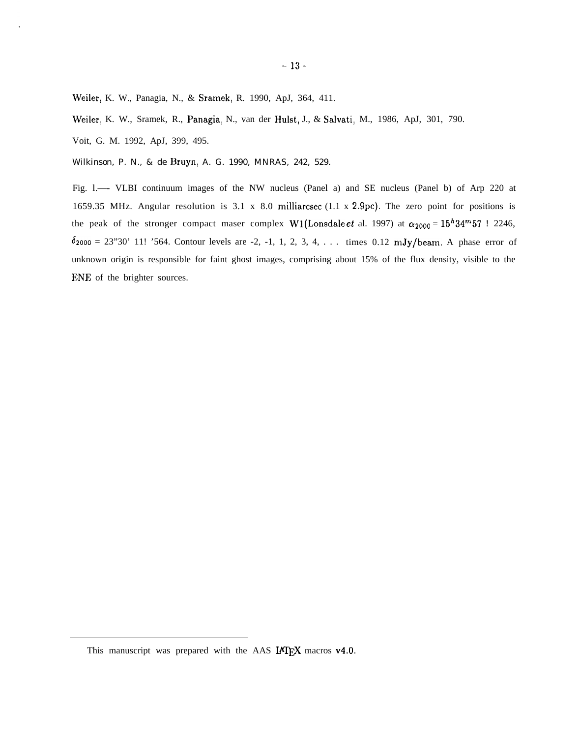- Weiler, K. W., Panagia, N., & Sramek, R. 1990, ApJ, 364, 411.
- Weiler, K. W., Sramek, R., Panagia, N., van der Hulst, J., & Salvati, M., 1986, ApJ, 301, 790.

Voit, G. M. 1992, ApJ, 399, 495.

Wilkinson, P. N., & de Bruyn, A. G. 1990, MNRAS, 242, 529.

Fig. l.—- VLBI continuum images of the NW nucleus (Panel a) and SE nucleus (Panel b) of Arp 220 at 1659.35 MHz. Angular resolution is 3.1 x 8.0 milliarcsec (1.1 x 2.9pc). The zero point for positions is the peak of the stronger compact maser complex  $W1$ (Lonsdale *et al. 1997)* at  $\alpha_{2000} = 15^{h}34^{m}57$  ! 2246,  $\delta_{2000} = 23"30'$  11! '564. Contour levels are -2, -1, 1, 2, 3, 4, ... times 0.12 mJy/beam. A phase error of unknown origin is responsible for faint ghost images, comprising about 15% of the flux density, visible to the ENE of the brighter sources.

This manuscript was prepared with the AAS  $IATEX$  macros v4.0.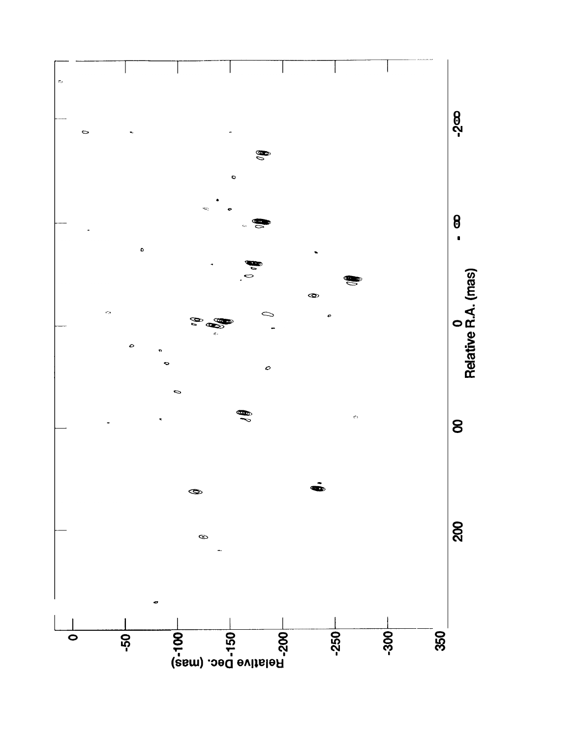